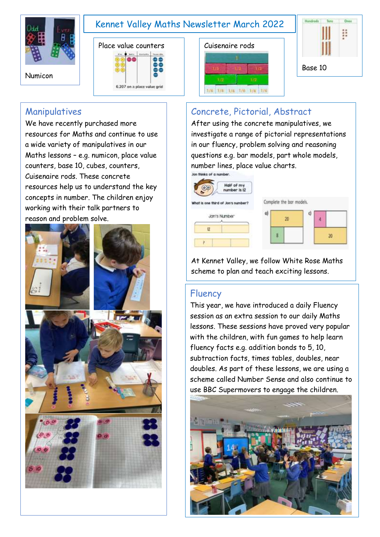

## Kennet Valley Maths Newsletter March 2022



### Manipulatives

We have recently purchased more resources for Maths and continue to use a wide variety of manipulatives in our Maths lessons – e.g. numicon, place value counters, base 10, cubes, counters, Cuisenaire rods. These concrete resources help us to understand the key concepts in number. The children enjoy working with their talk partners to reason and problem solve.







# Concrete, Pictorial, Abstract

After using the concrete manipulatives, we investigate a range of pictorial representations in our fluency, problem solving and reasoning questions e.g. bar models, part whole models, number lines, place value charts.

| a) | 20 | g |                          |
|----|----|---|--------------------------|
|    |    |   | 20                       |
|    |    |   | Complete the bar models. |

At Kennet Valley, we follow White Rose Maths scheme to plan and teach exciting lessons.

#### Fluency

This year, we have introduced a daily Fluency session as an extra session to our daily Maths lessons. These sessions have proved very popular with the children, with fun games to help learn fluency facts e.g. addition bonds to 5, 10, subtraction facts, times tables, doubles, near doubles. As part of these lessons, we are using a scheme called Number Sense and also continue to use BBC Supermovers to engage the children.